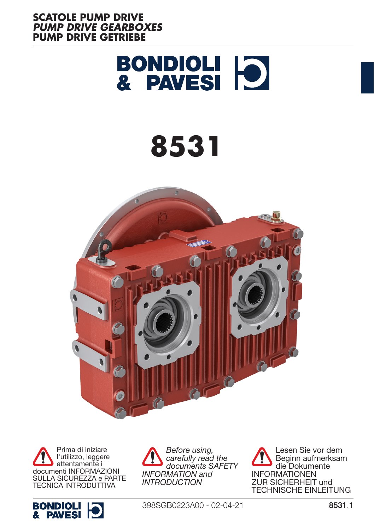



Prima di iniziare l'utilizzo, leggere attentamente i documenti INFORMAZIONI SULLA SICUREZZA e PARTE TECNICA INTRODUTTIVA



*Before using, carefully read the documents SAFETY INFORMATION and INTRODUCTION*

Lesen Sie vor dem Beginn aufmerksam die Dokumente INFORMATIONEN ZUR SICHERHEIT und TECHNISCHE EINLEITUNG

398SGB0223A00 - 02-04-21 8531.1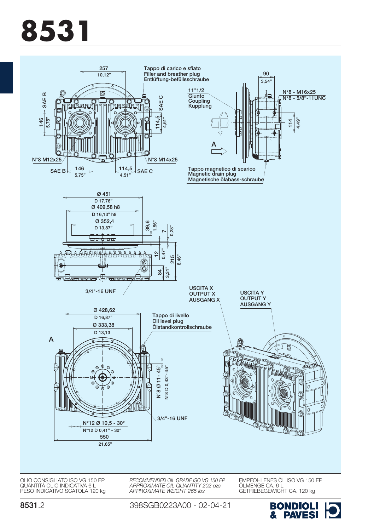

QUANTITÀ OLIO INDICATIVA 6 L PESO INDICATIVO SCATOLA 120 kg

398SGB0223A00 - 02-04-21

*APPROXIMATE WEIGHT 265 lbs*



ÖLMENGE CA. 6 L GETRIEBEGEWICHT CA. 120 kg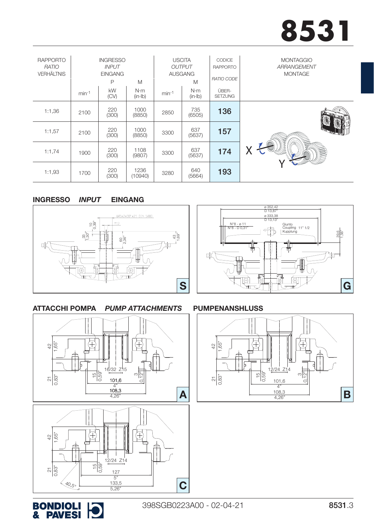| <b>RAPPORTO</b><br>RATIO<br><b>VERHÄLTNIS</b> |         | <b>INGRESSO</b><br><b>INPUT</b><br><b>EINGANG</b><br>P | M                  |         | <b>USCITA</b><br><b>OUTPUT</b><br><b>AUSGANG</b><br>M | CODICE<br><b>RAPPORTO</b><br>RATIO CODE | <b>MONTAGGIO</b><br>ARRANGEMENT<br><b>MONTAGE</b> |
|-----------------------------------------------|---------|--------------------------------------------------------|--------------------|---------|-------------------------------------------------------|-----------------------------------------|---------------------------------------------------|
|                                               | $min-1$ | <b>kW</b><br>(CV)                                      | N·m<br>$(in - lb)$ | $min-1$ | N·m<br>(in·lb)                                        | ÜBER-<br><b>SETZUNG</b>                 |                                                   |
| 1:1,36                                        | 2100    | 220<br>(300)                                           | 1000<br>(8850)     | 2850    | 735<br>(6505)                                         | 136                                     |                                                   |
| 1:1,57                                        | 2100    | 220<br>(300)                                           | 1000<br>(8850)     | 3300    | 637<br>(5637)                                         | 157                                     |                                                   |
| 1:1,74                                        | 1900    | 220<br>(300)                                           | 1108<br>(9807)     | 3300    | 637<br>(5637)                                         | 174                                     |                                                   |
| 1:1,93                                        | 1700    | 220<br>(300)                                           | 1236<br>(10940)    | 3280    | 640<br>(5664)                                         | 193                                     |                                                   |

#### EINGANG *INPUT* **INGRESSO**



# ΦĽ

ø 352,42 D 13,87" ø 333,38 D 13,13"

Giunto<br>Coupling 11" 1/2<br>Kupplung

39,6 1,56"

₩

G

### ATTACCHI POMPA

 $\frac{1}{4}$ 

1,65"

*PUMP ATTACHMENTS*

### PUMPENANSHLUSS

N°8 - D 0,31" N°8 - ø 11